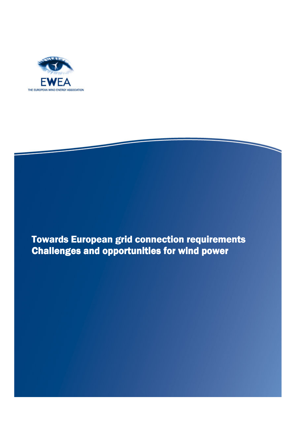

l

**Towards European grid connection requirements** Challenges and opportunities for wind power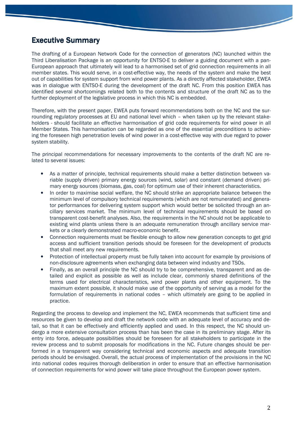## **Executive Summary**

The drafting of a European Network Code for the connection of generators (NC) launched within the Third Liberalisation Package is an opportunity for ENTSO-E to deliver a guiding document with a pan-European approach that ultimately will lead to a harmonised set of grid connection requirements in all member states. This would serve, in a cost-effective way, the needs of the system and make the best out of capabilities for system support from wind power plants. As a directly affected stakeholder, EWEA was in dialogue with ENTSO-E during the development of the draft NC. From this position EWEA has identified several shortcomings related both to the contents and structure of the draft NC as to the further deployment of the legislative process in which this NC is embedded.

Therefore, with the present paper, EWEA puts forward recommendations both on the NC and the surrounding regulatory processes at EU and national level which – when taken up by the relevant stakeholders - should facilitate an effective harmonisation of grid code requirements for wind power in all Member States. This harmonisation can be regarded as one of the essential preconditions to achieving the foreseen high penetration levels of wind power in a cost-effective way with due regard to power system stability.

The principal recommendations for necessary improvements to the contents of the draft NC are related to several issues:

- As a matter of principle, technical requirements should make a better distinction between variable (supply driven) primary energy sources (wind, solar) and constant (demand driven) primary energy sources (biomass, gas, coal) for optimum use of their inherent characteristics.
- In order to maximise social welfare, the NC should strike an appropriate balance between the minimum level of compulsory technical requirements (which are not remunerated) and generator performances for delivering system support which would better be solicited through an ancillary services market. The minimum level of technical requirements should be based on transparent cost-benefit analyses. Also, the requirements in the NC should not be applicable to existing wind plants unless there is an adequate remuneration through ancillary service markets or a clearly demonstrated macro-economic benefit.
- Connection requirements must be flexible enough to allow new generation concepts to get grid access and sufficient transition periods should be foreseen for the development of products that shall meet any new requirements.
- Protection of intellectual property must be fully taken into account for example by provisions of non-disclosure agreements when exchanging data between wind industry and TSOs.
- Finally, as an overall principle the NC should try to be comprehensive, transparent and as detailed and explicit as possible as well as include clear, commonly shared definitions of the terms used for electrical characteristics, wind power plants and other equipment. To the maximum extent possible, it should make use of the opportunity of serving as a model for the formulation of requirements in national codes – which ultimately are going to be applied in practice.

Regarding the process to develop and implement the NC, EWEA recommends that sufficient time and resources be given to develop and draft the network code with an adequate level of accuracy and detail, so that it can be effectively and efficiently applied and used. In this respect, the NC should undergo a more extensive consultation process than has been the case in its preliminary stage. After its entry into force, adequate possibilities should be foreseen for all stakeholders to participate in the review process and to submit proposals for modifications in the NC. Future changes should be performed in a transparent way considering technical and economic aspects and adequate transition periods should be envisaged. Overall, the actual process of implementation of the provisions in the NC into national codes requires thorough deliberation in order to ensure that an effective harmonisation of connection requirements for wind power will take place throughout the European power system.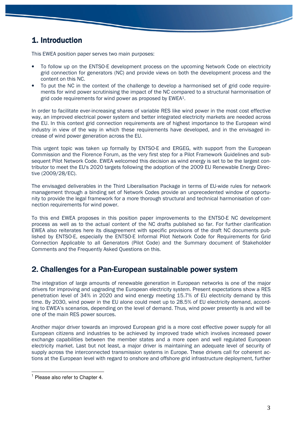# 1. Introduction

This EWEA position paper serves two main purposes:

- To follow up on the ENTSO-E development process on the upcoming Network Code on electricity grid connection for generators (NC) and provide views on both the development process and the content on this NC.
- To put the NC in the context of the challenge to develop a harmonised set of grid code requirements for wind power scrutinising the impact of the NC compared to a structural harmonisation of grid code requirements for wind power as proposed by EWEA1.

In order to facilitate ever-increasing shares of variable RES like wind power in the most cost effective way, an improved electrical power system and better integrated electricity markets are needed across the EU. In this context grid connection requirements are of highest importance to the European wind industry in view of the way in which these requirements have developed, and in the envisaged increase of wind power generation across the EU.

This urgent topic was taken up formally by ENTSO-E and ERGEG, with support from the European Commission and the Florence Forum, as the very first step for a Pilot Framework Guidelines and subsequent Pilot Network Code. EWEA welcomed this decision as wind energy is set to be the largest contributor to meet the EU's 2020 targets following the adoption of the 2009 EU Renewable Energy Directive (2009/28/EC).

The envisaged deliverables in the Third Liberalisation Package in terms of EU-wide rules for network management through a binding set of Network Codes provide an unprecedented window of opportunity to provide the legal framework for a more thorough structural and technical harmonisation of connection requirements for wind power.

To this end EWEA proposes in this position paper improvements to the ENTSO-E NC development process as well as to the actual content of the NC drafts published so far. For further clarification EWEA also reiterates here its disagreement with specific provisions of the draft NC documents published by ENTSO-E, especially the ENTSO-E Informal Pilot Network Code for Requirements for Grid Connection Applicable to all Generators (Pilot Code) and the Summary document of Stakeholder Comments and the Frequently Asked Questions on this.

# 2. Challenges for a Pan-European sustainable power system

The integration of large amounts of renewable generation in European networks is one of the major drivers for improving and upgrading the European electricity system. Present expectations show a RES penetration level of 34% in 2020 and wind energy meeting 15.7% of EU electricity demand by this time. By 2030, wind power in the EU alone could meet up to 28.5% of EU electricity demand, according to EWEA's scenarios, depending on the level of demand. Thus, wind power presently is and will be one of the main RES power sources.

Another major driver towards an improved European grid is a more cost effective power supply for all European citizens and industries to be achieved by improved trade which involves increased power exchange capabilities between the member states and a more open and well regulated European electricity market. Last but not least, a major driver is maintaining an adequate level of security of supply across the interconnected transmission systems in Europe. These drivers call for coherent actions at the European level with regard to onshore and offshore grid infrastructure deployment, further

 $\overline{a}$ <sup>1</sup> Please also refer to Chapter 4.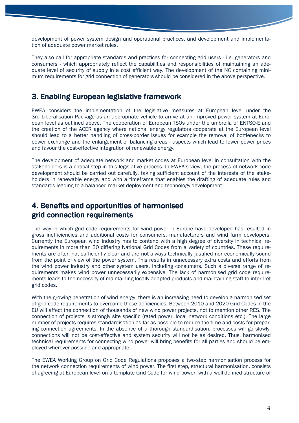development of power system design and operational practices, and development and implementation of adequate power market rules.

They also call for appropriate standards and practices for connecting grid users - i.e. generators and consumers - which appropriately reflect the capabilities and responsibilities of maintaining an adequate level of security of supply in a cost efficient way. The development of the NC containing minimum requirements for grid connection of generators should be considered in the above perspective.

# 3. Enabling European legislative framework

EWEA considers the implementation of the legislative measures at European level under the 3rd Liberalisation Package as an appropriate vehicle to arrive at an improved power system at European level as outlined above. The cooperation of European TSOs under the umbrella of ENTSO-E and the creation of the ACER agency where national energy regulators cooperate at the European level should lead to a better handling of cross-border issues for example the removal of bottlenecks to power exchange and the enlargement of balancing areas - aspects which lead to lower power prices and favour the cost-effective integration of renewable energy.

The development of adequate network and market codes at European level in consultation with the stakeholders is a critical step in this legislative process. In EWEA's view, the process of network code development should be carried out carefully, taking sufficient account of the interests of the stakeholders in renewable energy and with a timeframe that enables the drafting of adequate rules and standards leading to a balanced market deployment and technology development.

# 4. Benefits and opportunities of harmonised 4. Benefits of harmonised grid connection requirements

The way in which grid code requirements for wind power in Europe have developed has resulted in gross inefficiencies and additional costs for consumers, manufacturers and wind farm developers. Currently the European wind industry has to contend with a high degree of diversity in technical requirements in more than 30 differing National Grid Codes from a variety of countries. These requirements are often not sufficiently clear and are not always technically justified nor economically sound from the point of view of the power system. This results in unnecessary extra costs and efforts from the wind power industry and other system users, including consumers. Such a diverse range of requirements makes wind power unnecessarily expensive. The lack of harmonised grid code requirements leads to the necessity of maintaining locally adapted products and maintaining staff to interpret grid codes.

With the growing penetration of wind energy, there is an increasing need to develop a harmonised set of grid code requirements to overcome these deficiencies. Between 2010 and 2020 Grid Codes in the EU will affect the connection of thousands of new wind power projects, not to mention other RES. The connection of projects is strongly site specific (rated power, local network conditions etc.). The large number of projects requires standardisation as far as possible to reduce the time and costs for preparing connection agreements. In the absence of a thorough standardisation, processes will go slowly, connections will not be cost-effective and system security will not be as desired. Thus, harmonised technical requirements for connecting wind power will bring benefits for all parties and should be employed wherever possible and appropriate.

The EWEA Working Group on Grid Code Regulations proposes a two-step harmonisation process for the network connection requirements of wind power. The first step, structural harmonisation, consists of agreeing at European level on a template Grid Code for wind power, with a well-defined structure of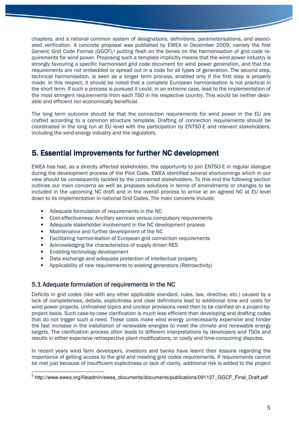chapters, and a rational common system of designations, definitions, parameterisations, and associated verification. A concrete proposal was published by EWEA in December 2009, namely the first Generic Grid Code Format (GGCF),<sup>2</sup> putting flesh on the bones on the harmonisation of grid code requirements for wind power. Proposing such a template implicitly means that the wind power industry is strongly favouring a specific harmonised grid code document for wind power generation, and that the requirements are not embedded or spread out in a code for all types of generation. The second step, technical harmonisation, is seen as a longer term process, enabled only if the first step is properly made. In this respect, it should be noted that a complete European harmonisation is not practical in the short term. If such a process is pursued it could, in an extreme case, lead to the implementation of the most stringent requirements from each TSO in his respective country. This would be neither desirable and efficient nor economically beneficial.

The long term outcome should be that the connection requirements for wind power in the EU are crafted according to a common structure template. Drafting of connection requirements should be coordinated in the long run at EU level with the participation by ENTSO-E and relevant stakeholders, including the wind energy industry and the regulators.

# 5. Essential improvements for further NC development

EWEA has had, as a directly affected stakeholder, the opportunity to join ENTSO-E in regular dialogue during the development process of the Pilot Code. EWEA identified several shortcomings which in our view should be consequently tackled by the concerned stakeholders. To this end the following section outlines our main concerns as well as proposes solutions in terms of amendments or changes to be included in the upcoming NC draft and in the overall process to arrive at an agreed NC at EU level down to its implementation in national Grid Codes. The main concerns include:

- Adequate formulation of requirements in the NC
- Cost-effectiveness: Ancillary services versus compulsory requirements
- Adequate stakeholder involvement in the NC development process
- Maintenance and further development of the NC
- Facilitating harmonisation of European grid connection requirements
- Acknowledging the characteristics of supply driven RES
- Enabling technology development
- Data exchange and adequate protection of intellectual property
- Applicability of new requirements to existing generators (Retroactivity)

## 5.1 Adequate formulation of requirements in the NC

Deficits in grid codes (like with any other applicable standard, rules, law, directive, etc.) caused by a lack of completeness, details, explicitness and clear definitions lead to additional time and costs for wind power projects. Unfinished topics and unclear provisions need then to be clarified on a project-byproject basis. Such case-by-case clarification is much less efficient than developing and drafting codes that do not trigger such a need. These costs make wind energy unnecessarily expensive and hinder the fast increase in the installation of renewable energies to meet the climate and renewable energy targets. The clarification process often leads to different interpretations by developers and TSOs and results in either expensive retrospective plant modifications, or costly and time-consuming disputes.

In recent years wind farm developers, investors and banks have learnt their lessons regarding the importance of getting access to the grid and meeting grid codes requirements. If requirements cannot be met just because of insufficient explicitness or lack of clarity, additional risk is added to the project

 2 http://www.ewea.org/fileadmin/ewea\_documents/documents/publications/091127\_GGCF\_Final\_Draft.pdf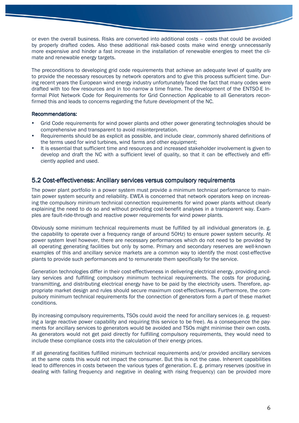or even the overall business. Risks are converted into additional costs – costs that could be avoided by properly drafted codes. Also these additional risk-based costs make wind energy unnecessarily more expensive and hinder a fast increase in the installation of renewable energies to meet the climate and renewable energy targets.

The preconditions to developing grid code requirements that achieve an adequate level of quality are to provide the necessary resources by network operators and to give this process sufficient time. During recent years the European wind energy industry unfortunately faced the fact that many codes were drafted with too few resources and in too narrow a time frame. The development of the ENTSO-E Informal Pilot Network Code for Requirements for Grid Connection Applicable to all Generators reconfirmed this and leads to concerns regarding the future development of the NC.

#### Recommendations:

- Grid Code requirements for wind power plants and other power generating technologies should be comprehensive and transparent to avoid misinterpretation.
- Requirements should be as explicit as possible, and include clear, commonly shared definitions of the terms used for wind turbines, wind farms and other equipment;
- It is essential that sufficient time and resources and increased stakeholder involvement is given to develop and draft the NC with a sufficient level of quality, so that it can be effectively and efficiently applied and used.

### 5.2 Cost-effectiveness: Ancillary services versus compulsory requirements

The power plant portfolio in a power system must provide a minimum technical performance to maintain power system security and reliability. EWEA is concerned that network operators keep on increasing the compulsory minimum technical connection requirements for wind power plants without clearly explaining the need to do so and without providing cost-benefit analyses in a transparent way. Examples are fault-ride-through and reactive power requirements for wind power plants.

Obviously some minimum technical requirements must be fulfilled by all individual generators (e. g. the capability to operate over a frequency range of around 50Hz) to ensure power system security. At power system level however, there are necessary performances which do not need to be provided by all operating generating facilities but only by some. Primary and secondary reserves are well-known examples of this and ancillary service markets are a common way to identify the most cost-effective plants to provide such performances and to remunerate them specifically for the service.

Generation technologies differ in their cost-effectiveness in delivering electrical energy, providing ancillary services and fulfilling compulsory minimum technical requirements. The costs for producing, transmitting, and distributing electrical energy have to be paid by the electricity users. Therefore, appropriate market design and rules should secure maximum cost-effectiveness. Furthermore, the compulsory minimum technical requirements for the connection of generators form a part of these market conditions.

By increasing compulsory requirements, TSOs could avoid the need for ancillary services (e. g. requesting a large reactive power capability and requiring this service to be free). As a consequence the payments for ancillary services to generators would be avoided and TSOs might minimise their own costs. As generators would not get paid directly for fulfilling compulsory requirements, they would need to include these compliance costs into the calculation of their energy prices.

If all generating facilities fulfilled minimum technical requirements and/or provided ancillary services at the same costs this would not impact the consumer. But this is not the case. Inherent capabilities lead to differences in costs between the various types of generation. E. g. primary reserves (positive in dealing with falling frequency and negative in dealing with rising frequency) can be provided more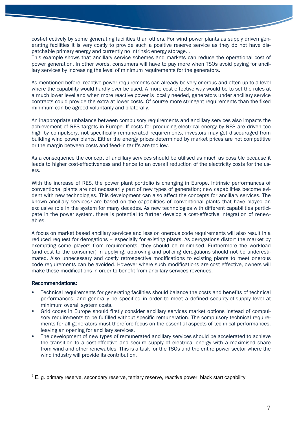cost-effectively by some generating facilities than others. For wind power plants as supply driven generating facilities it is very costly to provide such a positive reserve service as they do not have dispatchable primary energy and currently no intrinsic energy storage. .

This example shows that ancillary service schemes and markets can reduce the operational cost of power generation. In other words, consumers will have to pay more when TSOs avoid paying for ancillary services by increasing the level of minimum requirements for the generators.

As mentioned before, reactive power requirements can already be very onerous and often up to a level where the capability would hardly ever be used. A more cost effective way would be to set the rules at a much lower level and when more reactive power is locally needed, generators under ancillary service contracts could provide the extra at lower costs. Of course more stringent requirements than the fixed minimum can be agreed voluntarily and bilaterally.

An inappropriate unbalance between compulsory requirements and ancillary services also impacts the achievement of RES targets in Europe. If costs for producing electrical energy by RES are driven too high by compulsory, not specifically remunerated requirements, investors may get discouraged from building wind power plants. Either the energy prices determined by market prices are not competitive or the margin between costs and feed-in tariffs are too low.

As a consequence the concept of ancillary services should be utilised as much as possible because it leads to higher cost-effectiveness and hence to an overall reduction of the electricity costs for the users.

With the increase of RES, the power plant portfolio is changing in Europe. Intrinsic performances of conventional plants are not necessarily part of new types of generation; new capabilities become evident with new technologies. This development can also affect the concepts for ancillary services. The known ancillary services<sup>3</sup> are based on the capabilities of conventional plants that have played an exclusive role in the system for many decades. As new technologies with different capabilities participate in the power system, there is potential to further develop a cost-effective integration of renewables.

A focus on market based ancillary services and less on onerous code requirements will also result in a reduced request for derogations – especially for existing plants. As derogations distort the market by exempting some players from requirements, they should be minimised. Furthermore the workload (and cost to the consumer) in applying, approving and policing derogations should not be underestimated. Also unnecessary and costly retrospective modifications to existing plants to meet onerous code requirements can be avoided. However where such modifications are cost effective, owners will make these modifications in order to benefit from ancillary services revenues.

#### Recommendations:

- Technical requirements for generating facilities should balance the costs and benefits of technical performances, and generally be specified in order to meet a defined security-of-supply level at minimum overall system costs.
- Grid codes in Europe should firstly consider ancillary services market options instead of compulsory requirements to be fulfilled without specific remuneration. The compulsory technical requirements for all generators must therefore focus on the essential aspects of technical performances, leaving an opening for ancillary services.
- The development of new types of remunerated ancillary services should be accelerated to achieve the transition to a cost-effective and secure supply of electrical energy with a maximised share from wind and other renewables. This is a task for the TSOs and the entire power sector where the wind industry will provide its contribution.

 3 E. g. primary reserve, secondary reserve, tertiary reserve, reactive power, black start capability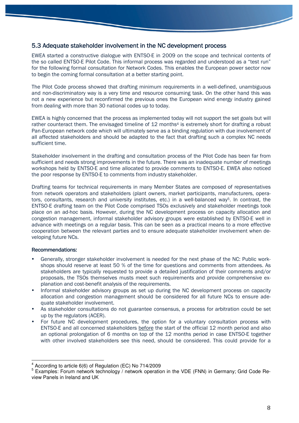### 5.3 Adequate stakeholder involvement in the NC development process

EWEA started a constructive dialogue with ENTSO-E in 2009 on the scope and technical contents of the so called ENTSO-E Pilot Code. This informal process was regarded and understood as a "test run" for the following formal consultation for Network Codes. This enables the European power sector now to begin the coming formal consultation at a better starting point.

The Pilot Code process showed that drafting minimum requirements in a well-defined, unambiguous and non-discriminatory way is a very time and resource consuming task. On the other hand this was not a new experience but reconfirmed the previous ones the European wind energy industry gained from dealing with more than 30 national codes up to today.

EWEA is highly concerned that the process as implemented today will not support the set goals but will rather counteract them. The envisaged timeline of 12 months<sup>4</sup> is extremely short for drafting a robust Pan-European network code which will ultimately serve as a binding regulation with due involvement of all affected stakeholders and should be adapted to the fact that drafting such a complex NC needs sufficient time.

Stakeholder involvement in the drafting and consultation process of the Pilot Code has been far from sufficient and needs strong improvements in the future. There was an inadequate number of meetings workshops held by ENTSO-E and time allocated to provide comments to ENTSO-E. EWEA also noticed the poor response by ENTSO-E to comments from industry stakeholder.

Drafting teams for technical requirements in many Member States are composed of representatives from network operators and stakeholders (plant owners, market participants, manufacturers, operators, consultants, research and university institutes, etc.) in a well-balanced way<sup>5</sup>. In contrast, the ENTSO-E drafting team on the Pilot Code comprised TSOs exclusively and stakeholder meetings took place on an ad-hoc basis. However, during the NC development process on capacity allocation and congestion management, informal stakeholder advisory groups were established by ENTSO-E well in advance with meetings on a regular basis. This can be seen as a practical means to a more effective cooperation between the relevant parties and to ensure adequate stakeholder involvement when developing future NCs.

#### Recommendations:

 $\overline{\phantom{a}}$ 

- Generally, stronger stakeholder involvement is needed for the next phase of the NC: Public workshops should reserve at least 50 % of the time for questions and comments from attendees. As stakeholders are typically requested to provide a detailed justification of their comments and/or proposals, the TSOs themselves musts meet such requirements and provide comprehensive explanation and cost-benefit analysis of the requirements.
- Informal stakeholder advisory groups as set up during the NC development process on capacity allocation and congestion management should be considered for all future NCs to ensure adequate stakeholder involvement.
- As stakeholder consultations do not guarantee consensus, a process for arbitration could be set up by the regulators (ACER).
- For future NC development procedures, the option for a voluntary consultation process with ENTSO-E and all concerned stakeholders before the start of the official 12 month period and also an optional prolongation of 6 months on top of the 12 months period in case ENTSO-E together with other involved stakeholders see this need, should be considered. This could provide for a

<sup>4</sup> According to article 6(6) of Regulation (EC) No 714/2009

<sup>&</sup>lt;sup>5</sup> Examples: Forum network technology / network operation in the VDE (FNN) in Germany; Grid Code Review Panels in Ireland and UK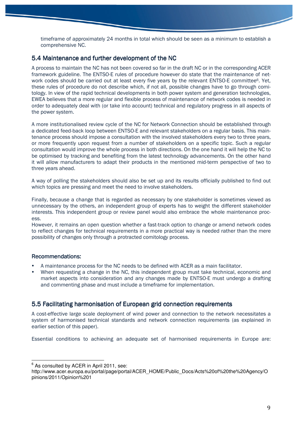timeframe of approximately 24 months in total which should be seen as a minimum to establish a comprehensive NC.

## 5.4 Maintenance and further development of the NC

A process to maintain the NC has not been covered so far in the draft NC or in the corresponding ACER framework guideline. The ENTSO-E rules of procedure however do state that the maintenance of network codes should be carried out at least every five years by the relevant ENTSO-E committee<sup>6</sup>. Yet, these rules of procedure do not describe which, if not all, possible changes have to go through comitology. In view of the rapid technical developments in both power system and generation technologies, EWEA believes that a more regular and flexible process of maintenance of network codes is needed in order to adequately deal with (or take into account) technical and regulatory progress in all aspects of the power system.

A more institutionalised review cycle of the NC for Network Connection should be established through a dedicated feed-back loop between ENTSO-E and relevant stakeholders on a regular basis. This maintenance process should impose a consultation with the involved stakeholders every two to three years, or more frequently upon request from a number of stakeholders on a specific topic. Such a regular consultation would improve the whole process in both directions. On the one hand it will help the NC to be optimised by tracking and benefiting from the latest technology advancements. On the other hand it will allow manufacturers to adapt their products in the mentioned mid-term perspective of two to three years ahead.

A way of polling the stakeholders should also be set up and its results officially published to find out which topics are pressing and meet the need to involve stakeholders.

Finally, because a change that is regarded as necessary by one stakeholder is sometimes viewed as unnecessary by the others, an independent group of experts has to weight the different stakeholder interests. This independent group or review panel would also embrace the whole maintenance process.

However, it remains an open question whether a fast-track option to change or amend network codes to reflect changes for technical requirements in a more practical way is needed rather than the mere possibility of changes only through a protracted comitology process.

### Recommendations:

- A maintenance process for the NC needs to be defined with ACER as a main facilitator.
- When requesting a change in the NC, this independent group must take technical, economic and market aspects into consideration and any changes made by ENTSO-E must undergo a drafting and commenting phase and must include a timeframe for implementation.

## 5.5 Facilitating harmonisation of European grid connection requirements

A cost-effective large scale deployment of wind power and connection to the network necessitates a system of harmonised technical standards and network connection requirements (as explained in earlier section of this paper).

Essential conditions to achieving an adequate set of harmonised requirements in Europe are:

 6 As consulted by ACER in April 2011, see:

http://www.acer.europa.eu/portal/page/portal/ACER\_HOME/Public\_Docs/Acts%20of%20the%20Agency/O pinions/2011/Opinion%201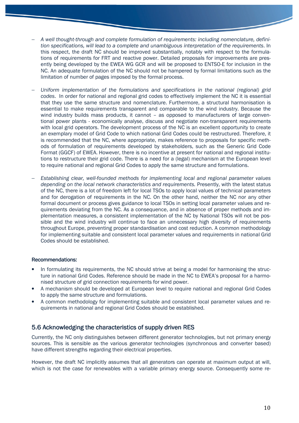- − A well thought-through and complete formulation of requirements: including nomenclature, definition specifications, will lead to a complete and unambiguous interpretation of the requirements. In this respect, the draft NC should be improved substantially, notably with respect to the formulations of requirements for FRT and reactive power. Detailed proposals for improvements are presently being developed by the EWEA WG GCR and will be proposed to ENTSO-E for inclusion in the NC. An adequate formulation of the NC should not be hampered by formal limitations such as the limitation of number of pages imposed by the formal process.
- − Uniform implementation of the formulations and specifications in the national (regional) grid codes. In order for national and regional grid codes to effectively implement the NC it is essential that they use the same structure and nomenclature. Furthermore, a structural harmonisation is essential to make requirements transparent and comparable to the wind industry. Because the wind industry builds mass products, it cannot - as opposed to manufacturers of large conventional power plants - economically analyse, discuss and negotiate non-transparent requirements with local grid operators. The development process of the NC is an excellent opportunity to create an exemplary model of Grid Code to which national Grid Codes could be restructured. Therefore, it is recommended that the NC, where appropriate, makes reference to proposals for specific methods of formulation of requirements developed by stakeholders, such as the Generic Grid Code Format (GGCF) of EWEA. However, there is no incentive at present for national and regional institutions to restructure their grid code. There is a need for a (legal) mechanism at the European level to require national and regional Grid Codes to apply the same structure and formulations.
- Establishing clear, well-founded methods for implementing local and regional parameter values depending on the local network characteristics and requirements. Presently, with the latest status of the NC, there is a lot of freedom left for local TSOs to apply local values of technical parameters and for derogation of requirements in the NC. On the other hand, neither the NC nor any other formal document or process gives guidance to local TSOs in setting local parameter values and requirements deviating from the NC. As a consequence, and in absence of proper methods and implementation measures, a consistent implementation of the NC by National TSOs will not be possible and the wind industry will continue to face an unnecessary high diversity of requirements throughout Europe, preventing proper standardisation and cost reduction. A common methodology for implementing suitable and consistent local parameter values and requirements in national Grid Codes should be established.

#### Recommendations:

- In formulating its requirements, the NC should strive at being a model for harmonising the structure in national Grid Codes. Reference should be made in the NC to EWEA's proposal for a harmonised structure of grid connection requirements for wind power.
- A mechanism should be developed at European level to require national and regional Grid Codes to apply the same structure and formulations.
- A common methodology for implementing suitable and consistent local parameter values and requirements in national and regional Grid Codes should be established.

## 5.6 Acknowledging the characteristics of supply driven RES

Currently, the NC only distinguishes between different generator technologies, but not primary energy sources. This is sensible as the various generator technologies (synchronous and converter based) have different strengths regarding their electrical properties.

However, the draft NC implicitly assumes that all generators can operate at maximum output at will, which is not the case for renewables with a variable primary energy source. Consequently some re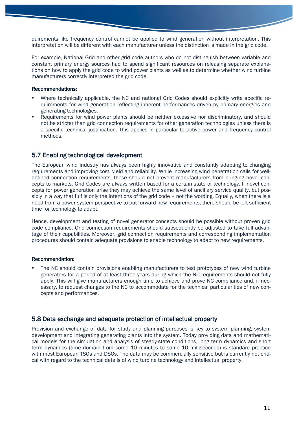quirements like frequency control cannot be applied to wind generation without interpretation. This interpretation will be different with each manufacturer unless the distinction is made in the grid code.

For example, National Grid and other grid code authors who do not distinguish between variable and constant primary energy sources had to spend significant resources on releasing separate explanations on how to apply the grid code to wind power plants as well as to determine whether wind turbine manufacturers correctly interpreted the grid code.

#### Recommendations:

- Where technically applicable, the NC and national Grid Codes should explicitly write specific requirements for wind generation reflecting inherent performances driven by primary energies and generating technologies.
- Requirements for wind power plants should be neither excessive nor discriminatory, and should not be stricter than grid connection requirements for other generation technologies unless there is a specific technical justification. This applies in particular to active power and frequency control methods.

## 5.7 Enabling technological development

The European wind industry has always been highly innovative and constantly adapting to changing requirements and improving cost, yield and reliability. While increasing wind penetration calls for welldefined connection requirements, these should not prevent manufacturers from bringing novel concepts to markets. Grid Codes are always written based for a certain state of technology. If novel concepts for power generation arise they may achieve the same level of ancillary service quality, but possibly in a way that fulfils only the intentions of the grid code – not the wording. Equally, when there is a need from a power system perspective to put forward new requirements, there should be left sufficient time for technology to adapt.

Hence, development and testing of novel generator concepts should be possible without proven grid code compliance. Grid connection requirements should subsequently be adjusted to take full advantage of their capabilities. Moreover, grid connection requirements and corresponding implementation procedures should contain adequate provisions to enable technology to adapt to new requirements.

### Recommendation:

 The NC should contain provisions enabling manufacturers to test prototypes of new wind turbine generators for a period of at least three years during which the NC requirements should not fully apply. This will give manufacturers enough time to achieve and prove NC compliance and, if necessary, to request changes to the NC to accommodate for the technical particularities of new concepts and performances.

## 5.8 Data exchange and adequate protection of intellectual property

Provision and exchange of data for study and planning purposes is key to system planning, system development and integrating generating plants into the system. Today providing data and mathematical models for the simulation and analysis of steady-state conditions, long term dynamics and short term dynamics (time domain from some 10 minutes to some 10 milliseconds) is standard practice with most European TSOs and DSOs. The data may be commercially sensitive but is currently not critical with regard to the technical details of wind turbine technology and intellectual property.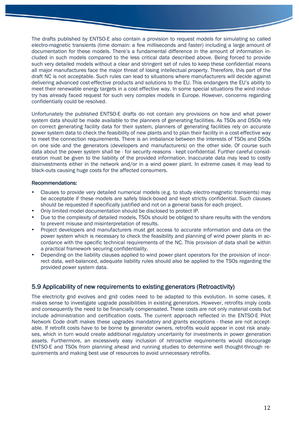The drafts published by ENTSO-E also contain a provision to request models for simulating so called electro-magnetic transients (time domain: a few milliseconds and faster) including a large amount of documentation for these models. There's a fundamental difference in the amount of information included in such models compared to the less critical data described above. Being forced to provide such very detailed models without a clear and stringent set of rules to keep these confidential means all major manufactures face the major threat of losing intellectual property. Therefore, this part of the draft NC is not acceptable. Such rules can lead to situations where manufacturers will decide against delivering advanced cost-effective products and solutions to the EU. This endangers the EU's ability to meet their renewable energy targets in a cost effective way. In some special situations the wind industry has already faced request for such very complex models in Europe. However, concerns regarding confidentially could be resolved.

Unfortunately the published ENTSO-E drafts do not contain any provisions on how and what power system data should be made available to the planners of generating facilities. As TSOs and DSOs rely on correct generating facility data for their system, planners of generating facilities rely on accurate power system data to check the feasibility of new plants and to plan their facility in a cost-effective way to meet the connection requirements. There is an imbalance between the interests of TSOs and DSOs on one side and the generators (developers and manufacturers) on the other side. Of course such data about the power system shall be - for security reasons - kept confidential. Further careful consideration must be given to the liability of the provided information. Inaccurate data may lead to costly disinvestments either in the network and/or in a wind power plant. In extreme cases it may lead to black-outs causing huge costs for the affected consumers.

#### Recommendations:

- Clauses to provide very detailed numerical models (e.g. to study electro-magnetic transients) may be acceptable if these models are safely black-boxed and kept strictly confidential. Such clauses should be requested if specifically justified and not on a general basis for each project.
- Only limited model documentation should be disclosed to protect IP.
- Due to the complexity of detailed models, TSOs should be obliged to share results with the vendors to prevent misuse and misinterpretation of results.
- Project developers and manufacturers must get access to accurate information and data on the power system which is necessary to check the feasibility and planning of wind power plants in accordance with the specific technical requirements of the NC. This provision of data shall be within a practical framework securing confidentiality.
- Depending on the liability clauses applied to wind power plant operators for the provision of incorrect data, well-balanced, adequate liability rules should also be applied to the TSOs regarding the provided power system data.

### 5.9 Applicability of new requirements to existing generators (Retroactivity)

The electricity grid evolves and grid codes need to be adapted to this evolution. In some cases, it makes sense to investigate upgrade possibilities in existing generators. However, retrofits imply costs and consequently the need to be financially compensated. These costs are not only material costs but include administration and certification costs. The current approach reflected in the ENTSO-E Pilot Network Code draft makes these upgrades mandatory and grants exceptions - these are not acceptable. If retrofit costs have to be borne by generator owners, retrofits would appear in cost risk analyses, which in turn would create additional regulatory uncertainty for investments in power generation assets. Furthermore, an excessively easy inclusion of retroactive requirements would discourage ENTSO-E and TSOs from planning ahead and running studies to determine well thought-through requirements and making best use of resources to avoid unnecessary retrofits.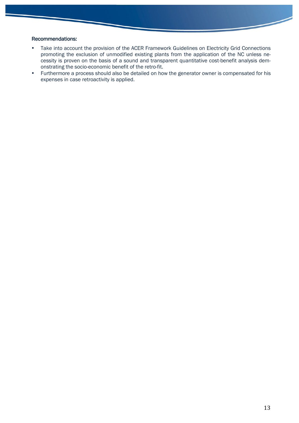### Recommendations:

- Take into account the provision of the ACER Framework Guidelines on Electricity Grid Connections promoting the exclusion of unmodified existing plants from the application of the NC unless necessity is proven on the basis of a sound and transparent quantitative cost-benefit analysis demonstrating the socio-economic benefit of the retro-fit.
- Furthermore a process should also be detailed on how the generator owner is compensated for his expenses in case retroactivity is applied.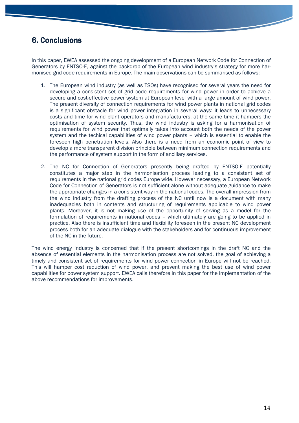# 6. Conclusions 6. Conclusions

In this paper, EWEA assessed the ongoing development of a European Network Code for Connection of Generators by ENTSO-E, against the backdrop of the European wind industry's strategy for more harmonised grid code requirements in Europe. The main observations can be summarised as follows:

- 1. The European wind industry (as well as TSOs) have recognised for several years the need for developing a consistent set of grid code requirements for wind power in order to achieve a secure and cost-effective power system at European level with a large amount of wind power. The present diversity of connection requirements for wind power plants in national grid codes is a significant obstacle for wind power integration in several ways: it leads to unnecessary costs and time for wind plant operators and manufacturers, at the same time it hampers the optimisation of system security. Thus, the wind industry is asking for a harmonisation of requirements for wind power that optimally takes into account both the needs of the power system and the techical capabilities of wind power plants – which is essential to enable the foreseen high penetration levels. Also there is a need from an economic point of view to develop a more transparent division principle between minimum connection requirements and the performance of system support in the form of ancillary services.
- 2. The NC for Connection of Generators presently being drafted by ENTSO-E potentially constitutes a major step in the harmonisation process leading to a consistent set of requirements in the national grid codes Europe wide. However necessary, a European Network Code for Connection of Generators is not sufficient alone without adequate guidance to make the appropriate changes in a consistent way in the national codes. The overall impression from the wind industry from the drafting process of the NC until now is a document with many inadequacies both in contents and structuring of requirements applicable to wind power plants. Moreover, it is not making use of the opportunity of serving as a model for the formulation of requirements in national codes – which ultimately are going to be applied in practice. Also there is insufficient time and flexibility foreseen in the present NC development process both for an adequate dialogue with the stakeholders and for continuous improvement of the NC in the future.

The wind energy industry is concerned that if the present shortcomings in the draft NC and the absence of essential elements in the harmonisation process are not solved, the goal of achieving a timely and consistent set of requirements for wind power connection in Europe will not be reached. This will hamper cost reduction of wind power, and prevent making the best use of wind power capabilities for power system support. EWEA calls therefore in this paper for the implementation of the above recommendations for improvements.